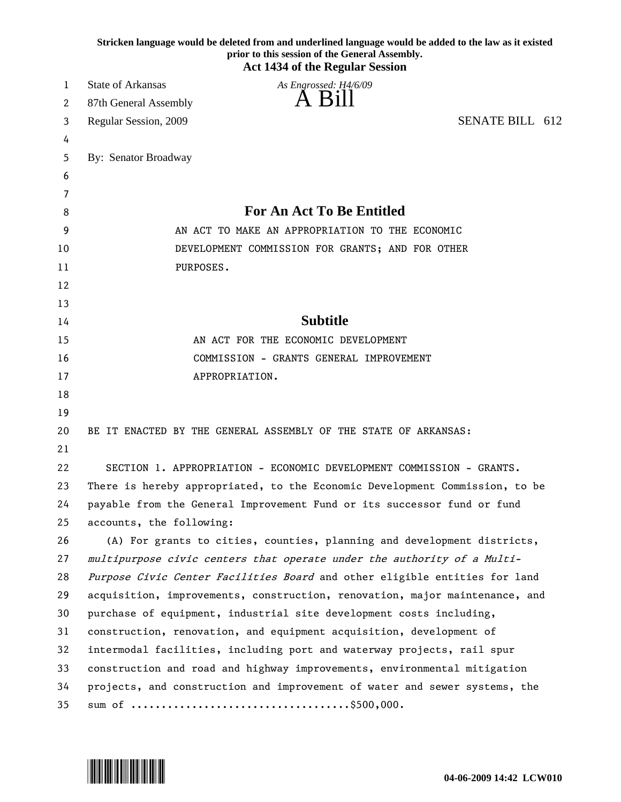| Stricken language would be deleted from and underlined language would be added to the law as it existed<br>prior to this session of the General Assembly.<br><b>Act 1434 of the Regular Session</b> |                                                                             |
|-----------------------------------------------------------------------------------------------------------------------------------------------------------------------------------------------------|-----------------------------------------------------------------------------|
| 1                                                                                                                                                                                                   | <b>State of Arkansas</b><br>As Engrossed: H4/6/09                           |
| 2                                                                                                                                                                                                   | A Bill<br>87th General Assembly                                             |
| 3                                                                                                                                                                                                   | SENATE BILL 612<br>Regular Session, 2009                                    |
| 4                                                                                                                                                                                                   |                                                                             |
| 5                                                                                                                                                                                                   | By: Senator Broadway                                                        |
| 6                                                                                                                                                                                                   |                                                                             |
| 7                                                                                                                                                                                                   |                                                                             |
| 8                                                                                                                                                                                                   | <b>For An Act To Be Entitled</b>                                            |
| 9                                                                                                                                                                                                   | AN ACT TO MAKE AN APPROPRIATION TO THE ECONOMIC                             |
| 10                                                                                                                                                                                                  | DEVELOPMENT COMMISSION FOR GRANTS; AND FOR OTHER                            |
| 11                                                                                                                                                                                                  | PURPOSES.                                                                   |
| 12                                                                                                                                                                                                  |                                                                             |
| 13                                                                                                                                                                                                  |                                                                             |
| 14                                                                                                                                                                                                  | <b>Subtitle</b>                                                             |
| 15                                                                                                                                                                                                  | AN ACT FOR THE ECONOMIC DEVELOPMENT                                         |
| 16                                                                                                                                                                                                  | COMMISSION - GRANTS GENERAL IMPROVEMENT                                     |
| 17                                                                                                                                                                                                  | APPROPRIATION.                                                              |
| 18                                                                                                                                                                                                  |                                                                             |
| 19                                                                                                                                                                                                  |                                                                             |
| 20                                                                                                                                                                                                  | BE IT ENACTED BY THE GENERAL ASSEMBLY OF THE STATE OF ARKANSAS:             |
| 21                                                                                                                                                                                                  |                                                                             |
| 22                                                                                                                                                                                                  | SECTION 1. APPROPRIATION - ECONOMIC DEVELOPMENT COMMISSION - GRANTS.        |
| 23                                                                                                                                                                                                  | There is hereby appropriated, to the Economic Development Commission, to be |
| 24                                                                                                                                                                                                  | payable from the General Improvement Fund or its successor fund or fund     |
| 25                                                                                                                                                                                                  | accounts, the following:                                                    |
| 26                                                                                                                                                                                                  | (A) For grants to cities, counties, planning and development districts,     |
| 27                                                                                                                                                                                                  | multipurpose civic centers that operate under the authority of a Multi-     |
| 28                                                                                                                                                                                                  | Purpose Civic Center Facilities Board and other eligible entities for land  |
| 29                                                                                                                                                                                                  | acquisition, improvements, construction, renovation, major maintenance, and |
| 30                                                                                                                                                                                                  | purchase of equipment, industrial site development costs including,         |
| 31                                                                                                                                                                                                  | construction, renovation, and equipment acquisition, development of         |
| 32                                                                                                                                                                                                  | intermodal facilities, including port and waterway projects, rail spur      |
| 33                                                                                                                                                                                                  | construction and road and highway improvements, environmental mitigation    |
| 34                                                                                                                                                                                                  | projects, and construction and improvement of water and sewer systems, the  |
| 35                                                                                                                                                                                                  |                                                                             |

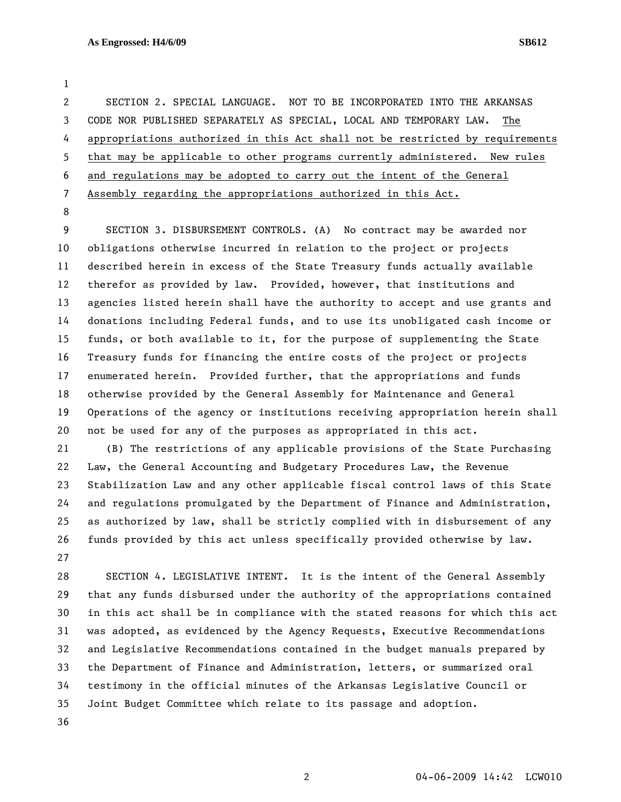1

2 SECTION 2. SPECIAL LANGUAGE. NOT TO BE INCORPORATED INTO THE ARKANSAS 3 CODE NOR PUBLISHED SEPARATELY AS SPECIAL, LOCAL AND TEMPORARY LAW. The 4 appropriations authorized in this Act shall not be restricted by requirements 5 that may be applicable to other programs currently administered. New rules 6 and regulations may be adopted to carry out the intent of the General 7 Assembly regarding the appropriations authorized in this Act.

8

9 SECTION 3. DISBURSEMENT CONTROLS. (A) No contract may be awarded nor 10 obligations otherwise incurred in relation to the project or projects 11 described herein in excess of the State Treasury funds actually available 12 therefor as provided by law. Provided, however, that institutions and 13 agencies listed herein shall have the authority to accept and use grants and 14 donations including Federal funds, and to use its unobligated cash income or 15 funds, or both available to it, for the purpose of supplementing the State 16 Treasury funds for financing the entire costs of the project or projects 17 enumerated herein. Provided further, that the appropriations and funds 18 otherwise provided by the General Assembly for Maintenance and General 19 Operations of the agency or institutions receiving appropriation herein shall 20 not be used for any of the purposes as appropriated in this act.

21 (B) The restrictions of any applicable provisions of the State Purchasing 22 Law, the General Accounting and Budgetary Procedures Law, the Revenue 23 Stabilization Law and any other applicable fiscal control laws of this State 24 and regulations promulgated by the Department of Finance and Administration, 25 as authorized by law, shall be strictly complied with in disbursement of any 26 funds provided by this act unless specifically provided otherwise by law. 27

28 SECTION 4. LEGISLATIVE INTENT. It is the intent of the General Assembly 29 that any funds disbursed under the authority of the appropriations contained 30 in this act shall be in compliance with the stated reasons for which this act 31 was adopted, as evidenced by the Agency Requests, Executive Recommendations 32 and Legislative Recommendations contained in the budget manuals prepared by 33 the Department of Finance and Administration, letters, or summarized oral 34 testimony in the official minutes of the Arkansas Legislative Council or 35 Joint Budget Committee which relate to its passage and adoption. 36